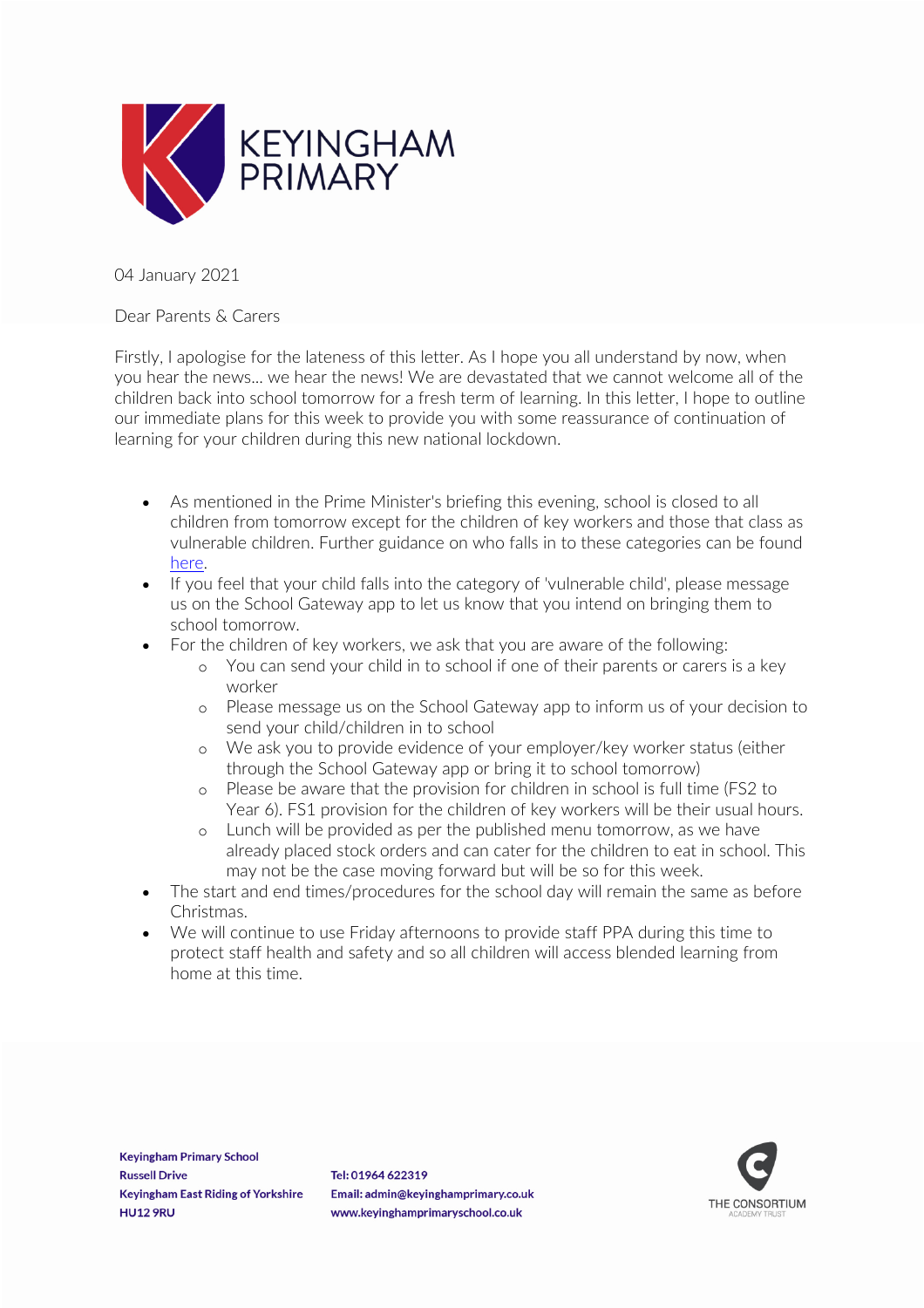

04 January 2021

Dear Parents & Carers

Firstly, I apologise for the lateness of this letter. As I hope you all understand by now, when you hear the news... we hear the news! We are devastated that we cannot welcome all of the children back into school tomorrow for a fresh term of learning. In this letter, I hope to outline our immediate plans for this week to provide you with some reassurance of continuation of learning for your children during this new national lockdown.

- As mentioned in the Prime Minister's briefing this evening, school is closed to all children from tomorrow except for the children of key workers and those that class as vulnerable children. Further guidance on who falls in to these categories can be found [here.](https://www.gov.uk/government/publications/coronavirus-covid-19-maintaining-educational-provision/guidance-for-schools-colleges-and-local-authorities-on-maintaining-educational-provision)
- If you feel that your child falls into the category of 'vulnerable child', please message us on the School Gateway app to let us know that you intend on bringing them to school tomorrow.
- For the children of key workers, we ask that you are aware of the following:
	- o You can send your child in to school if one of their parents or carers is a key worker
	- o Please message us on the School Gateway app to inform us of your decision to send your child/children in to school
	- o We ask you to provide evidence of your employer/key worker status (either through the School Gateway app or bring it to school tomorrow)
	- o Please be aware that the provision for children in school is full time (FS2 to Year 6). FS1 provision for the children of key workers will be their usual hours.
	- o Lunch will be provided as per the published menu tomorrow, as we have already placed stock orders and can cater for the children to eat in school. This may not be the case moving forward but will be so for this week.
- The start and end times/procedures for the school day will remain the same as before Christmas.
- We will continue to use Friday afternoons to provide staff PPA during this time to protect staff health and safety and so all children will access blended learning from home at this time.

**Keyingham Primary School Russell Drive Keyingham East Riding of Yorkshire HU12 9RU** 

Tel: 01964 622319 Email: admin@keyinghamprimary.co.uk www.keyinghamprimaryschool.co.uk